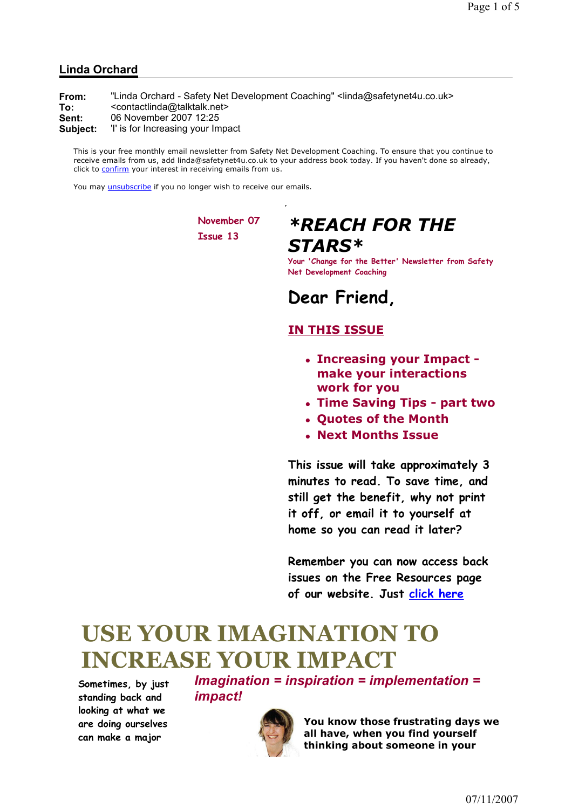#### Linda Orchard

From: "Linda Orchard - Safety Net Development Coaching" <linda@safetynet4u.co.uk> To: <contactlinda@talktalk.net> Sent: 06 November 2007 12:25 Subject: 'I' is for Increasing your Impact

This is your free monthly email newsletter from Safety Net Development Coaching. To ensure that you continue to receive emails from us, add linda@safetynet4u.co.uk to your address book today. If you haven't done so already, click to confirm your interest in receiving emails from us.

You may unsubscribe if you no longer wish to receive our emails.

November 07 Issue 13

## \*REACH FOR THE STARS\*

Your 'Change for the Better' Newsletter from Safety Net Development Coaching

## Dear Friend,

### IN THIS ISSUE

- Increasing your Impact make your interactions work for you
- Time Saving Tips part two
- Quotes of the Month
- Next Months Issue

This issue will take approximately 3 minutes to read. To save time, and still get the benefit, why not print it off, or email it to yourself at home so you can read it later?

Remember you can now access back issues on the Free Resources page of our website. Just click here

# USE YOUR IMAGINATION TO INCREASE YOUR IMPACT

Sometimes, by just standing back and looking at what we are doing ourselves can make a major

Imagination = inspiration = implementation = impact!



You know those frustrating days we all have, when you find yourself thinking about someone in your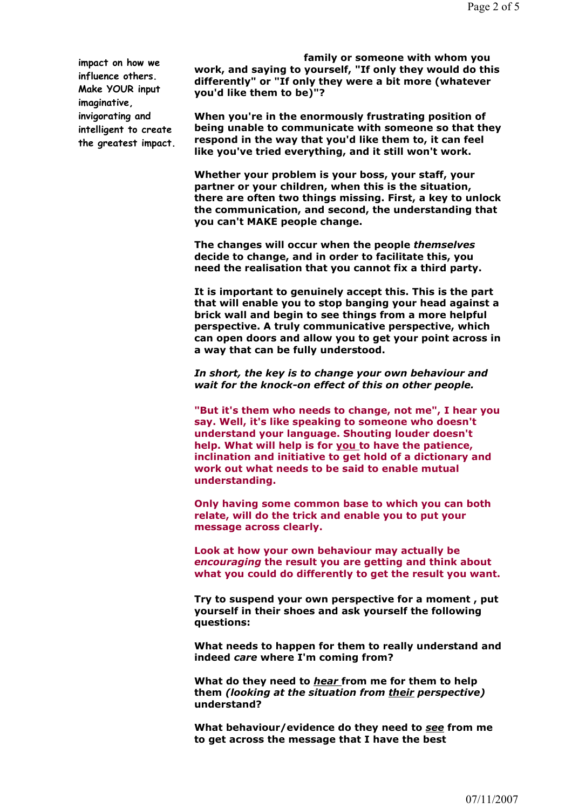impact on how we influence others. Make YOUR input imaginative, invigorating and intelligent to create the greatest impact.

family or someone with whom you work, and saving to yourself, "If only they would do this differently" or "If only they were a bit more (whatever you'd like them to be)"?

When you're in the enormously frustrating position of being unable to communicate with someone so that they respond in the way that you'd like them to, it can feel like you've tried everything, and it still won't work.

Whether your problem is your boss, your staff, your partner or your children, when this is the situation, there are often two things missing. First, a key to unlock the communication, and second, the understanding that you can't MAKE people change.

The changes will occur when the people themselves decide to change, and in order to facilitate this, you need the realisation that you cannot fix a third party.

It is important to genuinely accept this. This is the part that will enable you to stop banging your head against a brick wall and begin to see things from a more helpful perspective. A truly communicative perspective, which can open doors and allow you to get your point across in a way that can be fully understood.

In short, the key is to change your own behaviour and wait for the knock-on effect of this on other people.

"But it's them who needs to change, not me", I hear you say. Well, it's like speaking to someone who doesn't understand your language. Shouting louder doesn't help. What will help is for you to have the patience, inclination and initiative to get hold of a dictionary and work out what needs to be said to enable mutual understanding.

Only having some common base to which you can both relate, will do the trick and enable you to put your message across clearly.

Look at how your own behaviour may actually be encouraging the result you are getting and think about what you could do differently to get the result you want.

Try to suspend your own perspective for a moment , put yourself in their shoes and ask yourself the following questions:

What needs to happen for them to really understand and indeed care where I'm coming from?

What do they need to hear from me for them to help them (looking at the situation from their perspective) understand?

What behaviour/evidence do they need to see from me to get across the message that I have the best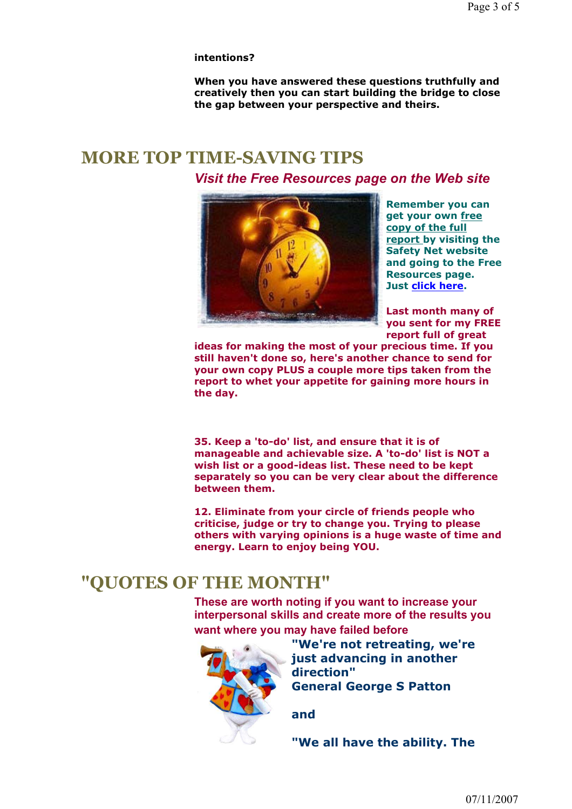#### intentions?

When you have answered these questions truthfully and creatively then you can start building the bridge to close the gap between your perspective and theirs.

## MORE TOP TIME-SAVING TIPS

Visit the Free Resources page on the Web site



Remember you can get your own free copy of the full report by visiting the Safety Net website and going to the Free Resources page. Just click here.

Last month many of you sent for my FREE report full of great

ideas for making the most of your precious time. If you still haven't done so, here's another chance to send for your own copy PLUS a couple more tips taken from the report to whet your appetite for gaining more hours in the day.

35. Keep a 'to-do' list, and ensure that it is of manageable and achievable size. A 'to-do' list is NOT a wish list or a good-ideas list. These need to be kept separately so you can be very clear about the difference between them.

12. Eliminate from your circle of friends people who criticise, judge or try to change you. Trying to please others with varying opinions is a huge waste of time and energy. Learn to enjoy being YOU.

### "QUOTES OF THE MONTH"

These are worth noting if you want to increase your interpersonal skills and create more of the results you want where you may have failed before



"We're not retreating, we're just advancing in another direction" General George S Patton

and

"We all have the ability. The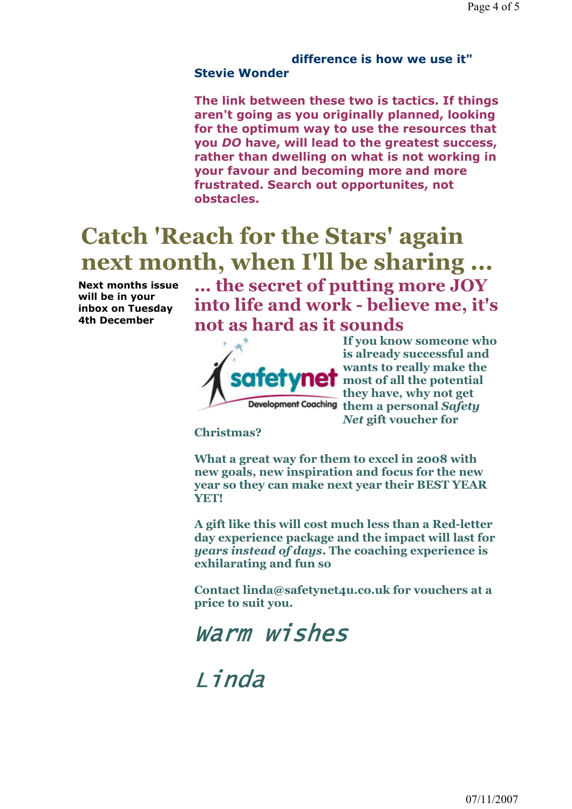### difference is how we use it" Stevie Wonder

The link between these two is tactics. If things aren't going as you originally planned, looking for the optimum way to use the resources that you DO have, will lead to the greatest success, rather than dwelling on what is not working in your favour and becoming more and more frustrated. Search out opportunites, not obstacles.

# Catch 'Reach for the Stars' again next month, when I'll be sharing ...

Next months issue will be in your inbox on Tuesday 4th December

... the secret of putting more JOY into life and work - believe me, it's not as hard as it sounds



If you know someone who is already successful and wants to really make the most of all the potential they have, why not get Development Coaching them a personal Safety Net gift voucher for

Christmas?

What a great way for them to excel in 2008 with new goals, new inspiration and focus for the new year so they can make next year their BEST YEAR YET!

A gift like this will cost much less than a Red-letter day experience package and the impact will last for years instead of days. The coaching experience is exhilarating and fun so

Contact linda@safetynet4u.co.uk for vouchers at a price to suit you.



Linda